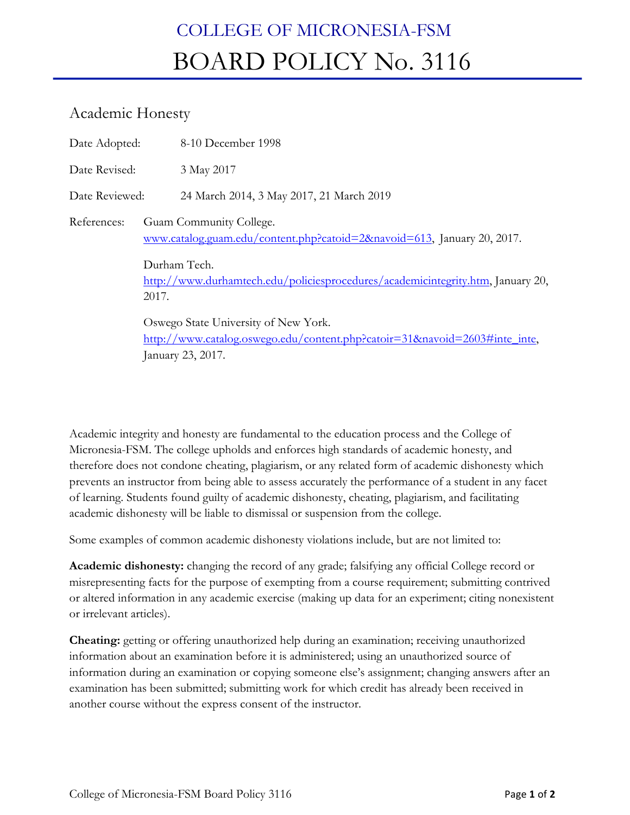## COLLEGE OF MICRONESIA-FSM BOARD POLICY No. 3116

## Academic Honesty

| Date Adopted:  | 8-10 December 1998                                                                                                                                                                                             |
|----------------|----------------------------------------------------------------------------------------------------------------------------------------------------------------------------------------------------------------|
| Date Revised:  | 3 May 2017                                                                                                                                                                                                     |
| Date Reviewed: | 24 March 2014, 3 May 2017, 21 March 2019                                                                                                                                                                       |
| References:    | Guam Community College.<br>www.catalog.guam.edu/content.php?catoid=2&navoid=613, January 20, 2017.<br>Durham Tech.<br>http://www.durhamtech.edu/policiesprocedures/academicintegrity.htm, January 20,<br>2017. |
|                | Oswego State University of New York.<br>http://www.catalog.oswego.edu/content.php?catoir=31&navoid=2603#inte_inte,<br>January 23, 2017.                                                                        |

Academic integrity and honesty are fundamental to the education process and the College of Micronesia-FSM. The college upholds and enforces high standards of academic honesty, and therefore does not condone cheating, plagiarism, or any related form of academic dishonesty which prevents an instructor from being able to assess accurately the performance of a student in any facet of learning. Students found guilty of academic dishonesty, cheating, plagiarism, and facilitating academic dishonesty will be liable to dismissal or suspension from the college.

Some examples of common academic dishonesty violations include, but are not limited to:

**Academic dishonesty:** changing the record of any grade; falsifying any official College record or misrepresenting facts for the purpose of exempting from a course requirement; submitting contrived or altered information in any academic exercise (making up data for an experiment; citing nonexistent or irrelevant articles).

**Cheating:** getting or offering unauthorized help during an examination; receiving unauthorized information about an examination before it is administered; using an unauthorized source of information during an examination or copying someone else's assignment; changing answers after an examination has been submitted; submitting work for which credit has already been received in another course without the express consent of the instructor.